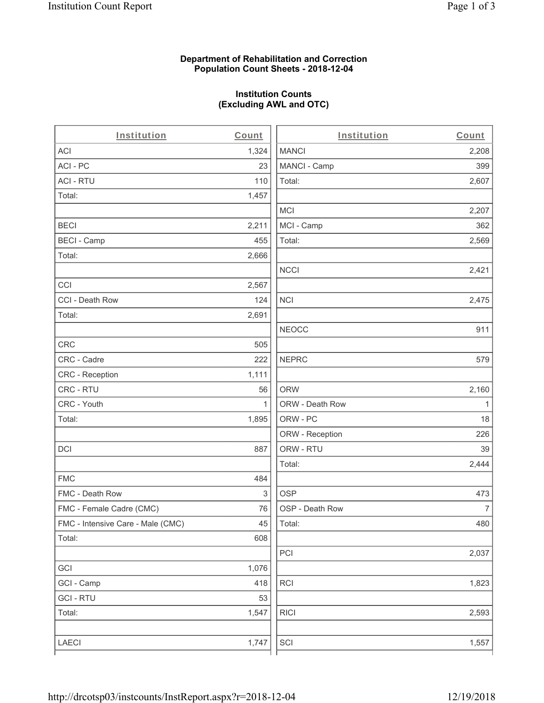## **Department of Rehabilitation and Correction Population Count Sheets - 2018-12-04**

# **Institution Counts (Excluding AWL and OTC)**

 $\overline{a}$ .

| Institution                       | Count        | Institution     | Count        |
|-----------------------------------|--------------|-----------------|--------------|
| ACI                               | 1,324        | <b>MANCI</b>    | 2,208        |
| ACI-PC                            | 23           | MANCI - Camp    | 399          |
| <b>ACI - RTU</b>                  | 110          | Total:          | 2,607        |
| Total:                            | 1,457        |                 |              |
|                                   |              | <b>MCI</b>      | 2,207        |
| <b>BECI</b>                       | 2,211        | MCI - Camp      | 362          |
| <b>BECI - Camp</b>                | 455          | Total:          | 2,569        |
| Total:                            | 2,666        |                 |              |
|                                   |              | <b>NCCI</b>     | 2,421        |
| CCI                               | 2,567        |                 |              |
| CCI - Death Row                   | 124          | <b>NCI</b>      | 2,475        |
| Total:                            | 2,691        |                 |              |
|                                   |              | <b>NEOCC</b>    | 911          |
| <b>CRC</b>                        | 505          |                 |              |
| CRC - Cadre                       | 222          | <b>NEPRC</b>    | 579          |
| CRC - Reception                   | 1,111        |                 |              |
| CRC - RTU                         | 56           | <b>ORW</b>      | 2,160        |
| CRC - Youth                       | $\mathbf{1}$ | ORW - Death Row | $\mathbf{1}$ |
| Total:                            | 1,895        | ORW - PC        | 18           |
|                                   |              | ORW - Reception | 226          |
| DCI                               | 887          | ORW - RTU       | 39           |
|                                   |              | Total:          | 2,444        |
| <b>FMC</b>                        | 484          |                 |              |
| FMC - Death Row                   | 3            | <b>OSP</b>      | 473          |
| FMC - Female Cadre (CMC)          | 76           | OSP - Death Row | 7            |
| FMC - Intensive Care - Male (CMC) | 45           | Total:          | 480          |
| Total:                            | 608          |                 |              |
|                                   |              | PCI             | 2,037        |
| GCI                               | 1,076        |                 |              |
| GCI - Camp                        | 418          | RCI             | 1,823        |
| <b>GCI - RTU</b>                  | 53           |                 |              |
| Total:                            | 1,547        | <b>RICI</b>     | 2,593        |
|                                   |              |                 |              |
| LAECI                             | 1,747        | SCI             | 1,557        |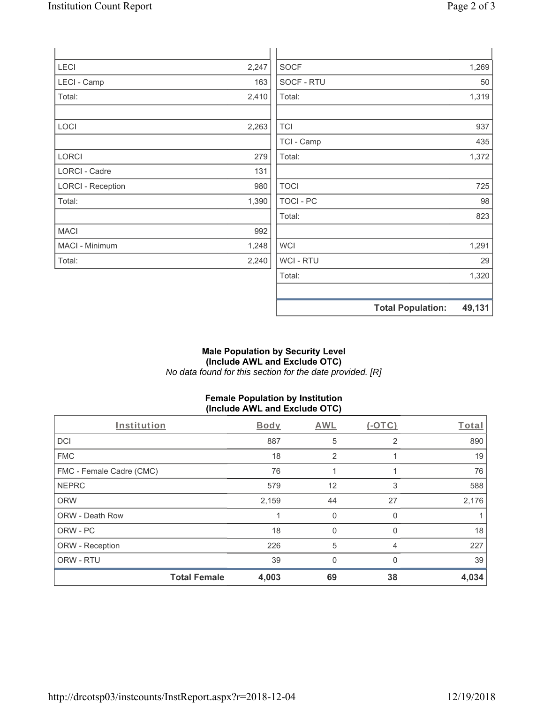| LECI                     | 2,247 | <b>SOCF</b> |                          | 1,269  |
|--------------------------|-------|-------------|--------------------------|--------|
| LECI - Camp              | 163   | SOCF - RTU  |                          | 50     |
| Total:                   | 2,410 | Total:      |                          | 1,319  |
|                          |       |             |                          |        |
| LOCI                     | 2,263 | <b>TCI</b>  |                          | 937    |
|                          |       | TCI - Camp  |                          | 435    |
| LORCI                    | 279   | Total:      |                          | 1,372  |
| <b>LORCI - Cadre</b>     | 131   |             |                          |        |
| <b>LORCI - Reception</b> | 980   | <b>TOCI</b> |                          | 725    |
| Total:                   | 1,390 | TOCI - PC   |                          | 98     |
|                          |       | Total:      |                          | 823    |
| <b>MACI</b>              | 992   |             |                          |        |
| MACI - Minimum           | 1,248 | <b>WCI</b>  |                          | 1,291  |
| Total:                   | 2,240 | WCI - RTU   |                          | 29     |
|                          |       | Total:      |                          | 1,320  |
|                          |       |             |                          |        |
|                          |       |             | <b>Total Population:</b> | 49,131 |

## **Male Population by Security Level (Include AWL and Exclude OTC)**  *No data found for this section for the date provided. [R]*

# **Female Population by Institution (Include AWL and Exclude OTC)**

| Institution              | Body  | AWL            | $(-OTC)$       | Total |
|--------------------------|-------|----------------|----------------|-------|
| <b>DCI</b>               | 887   | 5              | $\overline{2}$ | 890   |
| <b>FMC</b>               | 18    | $\overline{2}$ |                | 19    |
| FMC - Female Cadre (CMC) | 76    |                |                | 76    |
| <b>NEPRC</b>             | 579   | 12             | 3              | 588   |
| <b>ORW</b>               | 2,159 | 44             | 27             | 2,176 |
| <b>ORW - Death Row</b>   |       | $\mathbf 0$    | 0              |       |
| ORW - PC                 | 18    | $\Omega$       |                | 18    |
| ORW - Reception          | 226   | 5              | 4              | 227   |
| ORW - RTU                | 39    | $\Omega$       | 0              | 39    |
| <b>Total Female</b>      | 4,003 | 69             | 38             | 4,034 |